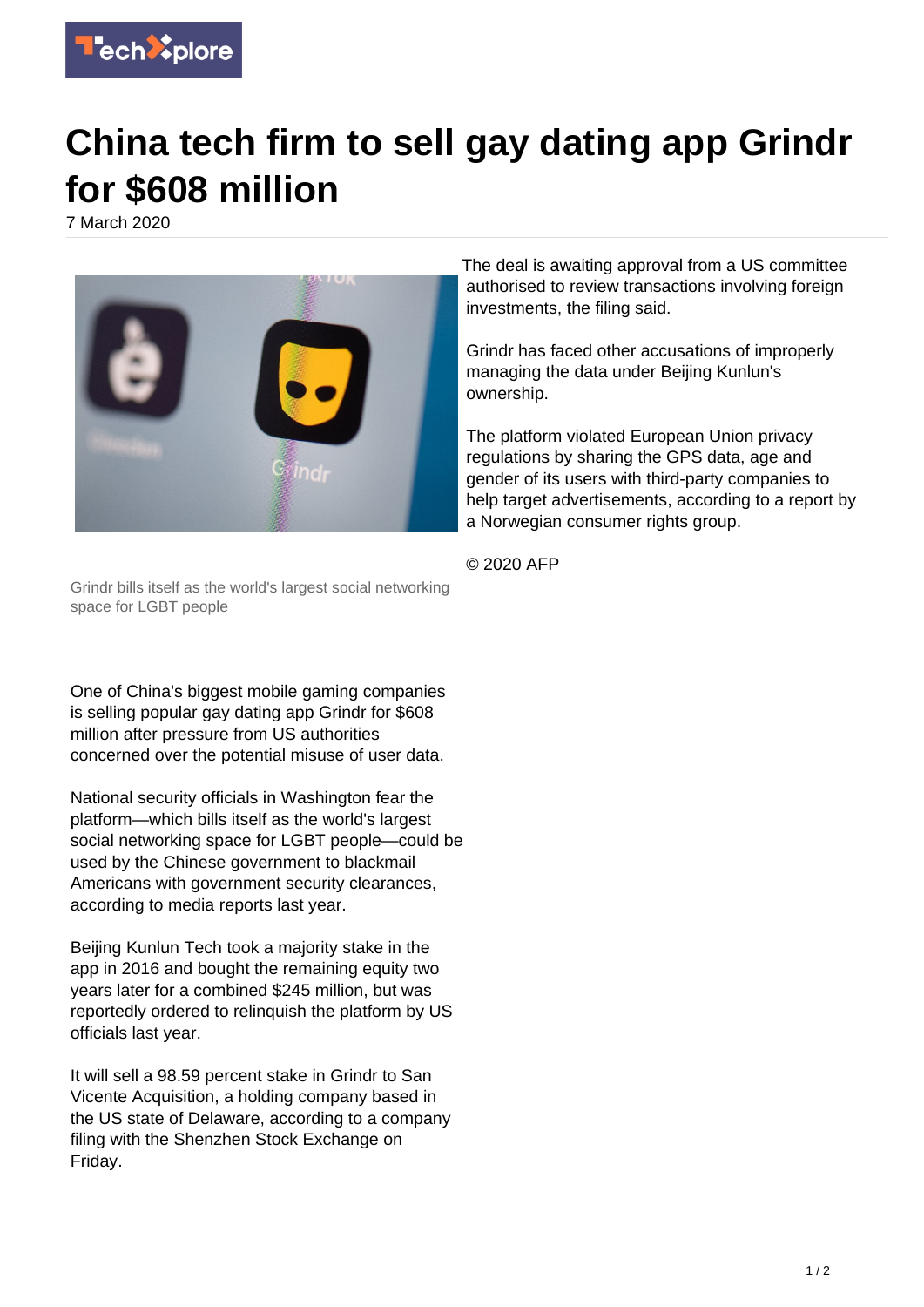

## **China tech firm to sell gay dating app Grindr for \$608 million**

7 March 2020



Grindr bills itself as the world's largest social networking space for LGBT people

One of China's biggest mobile gaming companies is selling popular gay dating app Grindr for \$608 million after pressure from US authorities concerned over the potential misuse of user data.

National security officials in Washington fear the platform—which bills itself as the world's largest social networking space for LGBT people—could be used by the Chinese government to blackmail Americans with government security clearances, according to media reports last year.

Beijing Kunlun Tech took a majority stake in the app in 2016 and bought the remaining equity two years later for a combined \$245 million, but was reportedly ordered to relinquish the platform by US officials last year.

It will sell a 98.59 percent stake in Grindr to San Vicente Acquisition, a holding company based in the US state of Delaware, according to a company filing with the Shenzhen Stock Exchange on Friday.

The deal is awaiting approval from a US committee authorised to review transactions involving foreign investments, the filing said.

Grindr has faced other accusations of improperly managing the data under Beijing Kunlun's ownership.

The platform violated European Union privacy regulations by sharing the GPS data, age and gender of its users with third-party companies to help target advertisements, according to a report by a Norwegian consumer rights group.

© 2020 AFP